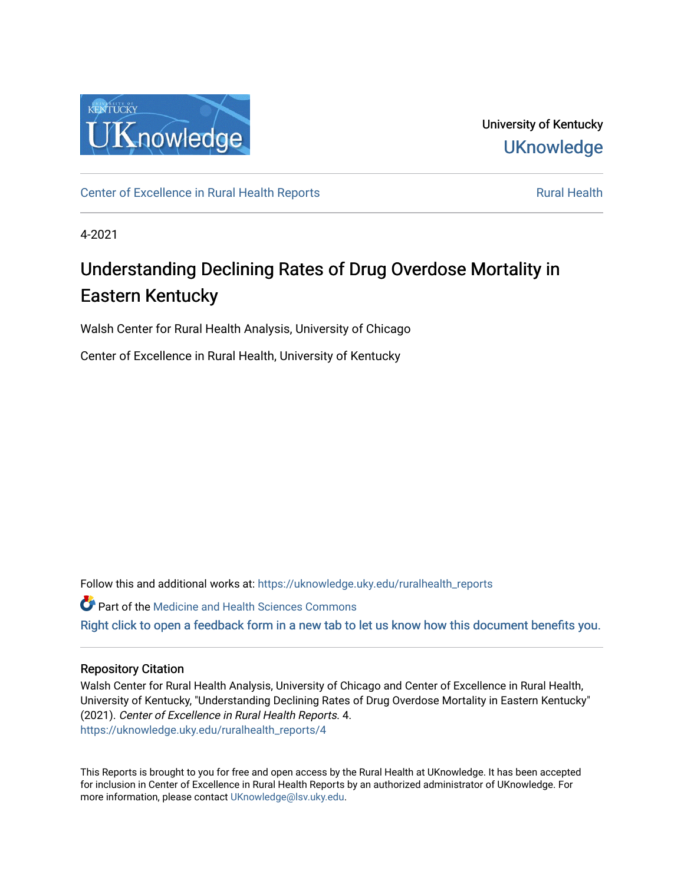

University of Kentucky **UKnowledge** 

[Center of Excellence in Rural Health Reports](https://uknowledge.uky.edu/ruralhealth_reports) **Rural Health** Rural Health

4-2021

## Understanding Declining Rates of Drug Overdose Mortality in Eastern Kentucky

Walsh Center for Rural Health Analysis, University of Chicago

Center of Excellence in Rural Health, University of Kentucky

Follow this and additional works at: [https://uknowledge.uky.edu/ruralhealth\\_reports](https://uknowledge.uky.edu/ruralhealth_reports?utm_source=uknowledge.uky.edu%2Fruralhealth_reports%2F4&utm_medium=PDF&utm_campaign=PDFCoverPages)

Part of the [Medicine and Health Sciences Commons](http://network.bepress.com/hgg/discipline/648?utm_source=uknowledge.uky.edu%2Fruralhealth_reports%2F4&utm_medium=PDF&utm_campaign=PDFCoverPages)  [Right click to open a feedback form in a new tab to let us know how this document benefits you.](https://uky.az1.qualtrics.com/jfe/form/SV_9mq8fx2GnONRfz7)

#### Repository Citation

Walsh Center for Rural Health Analysis, University of Chicago and Center of Excellence in Rural Health, University of Kentucky, "Understanding Declining Rates of Drug Overdose Mortality in Eastern Kentucky" (2021). Center of Excellence in Rural Health Reports. 4. [https://uknowledge.uky.edu/ruralhealth\\_reports/4](https://uknowledge.uky.edu/ruralhealth_reports/4?utm_source=uknowledge.uky.edu%2Fruralhealth_reports%2F4&utm_medium=PDF&utm_campaign=PDFCoverPages)

This Reports is brought to you for free and open access by the Rural Health at UKnowledge. It has been accepted for inclusion in Center of Excellence in Rural Health Reports by an authorized administrator of UKnowledge. For more information, please contact [UKnowledge@lsv.uky.edu](mailto:UKnowledge@lsv.uky.edu).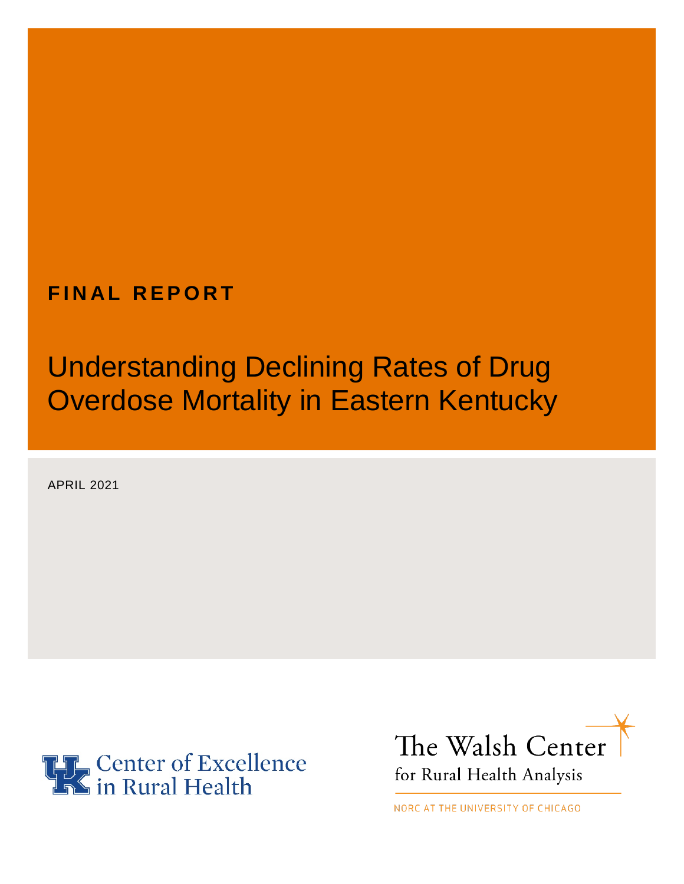# **FINAL REPORT**

# Understanding Declining Rates of Drug Overdose Mortality in Eastern Kentucky

APRIL 2021





NORC AT THE UNIVERSITY OF CHICAGO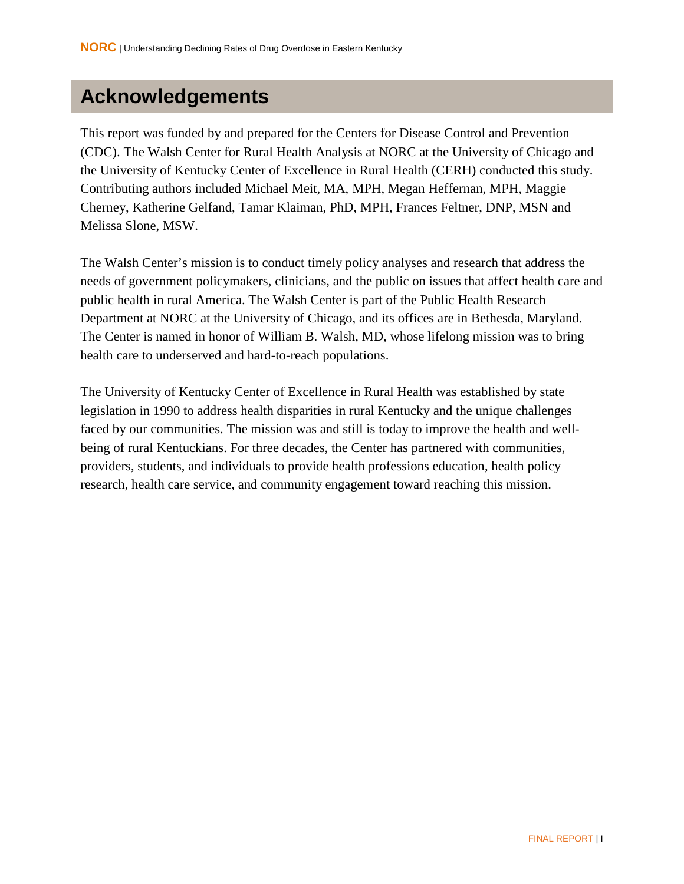### **Acknowledgements**

This report was funded by and prepared for the Centers for Disease Control and Prevention (CDC). The Walsh Center for Rural Health Analysis at NORC at the University of Chicago and the University of Kentucky Center of Excellence in Rural Health (CERH) conducted this study. Contributing authors included Michael Meit, MA, MPH, Megan Heffernan, MPH, Maggie Cherney, Katherine Gelfand, Tamar Klaiman, PhD, MPH, Frances Feltner, DNP, MSN and Melissa Slone, MSW.

The Walsh Center's mission is to conduct timely policy analyses and research that address the needs of government policymakers, clinicians, and the public on issues that affect health care and public health in rural America. The Walsh Center is part of the Public Health Research Department at NORC at the University of Chicago, and its offices are in Bethesda, Maryland. The Center is named in honor of William B. Walsh, MD, whose lifelong mission was to bring health care to underserved and hard-to-reach populations.

The University of Kentucky Center of Excellence in Rural Health was established by state legislation in 1990 to address health disparities in rural Kentucky and the unique challenges faced by our communities. The mission was and still is today to improve the health and wellbeing of rural Kentuckians. For three decades, the Center has partnered with communities, providers, students, and individuals to provide health professions education, health policy research, health care service, and community engagement toward reaching this mission.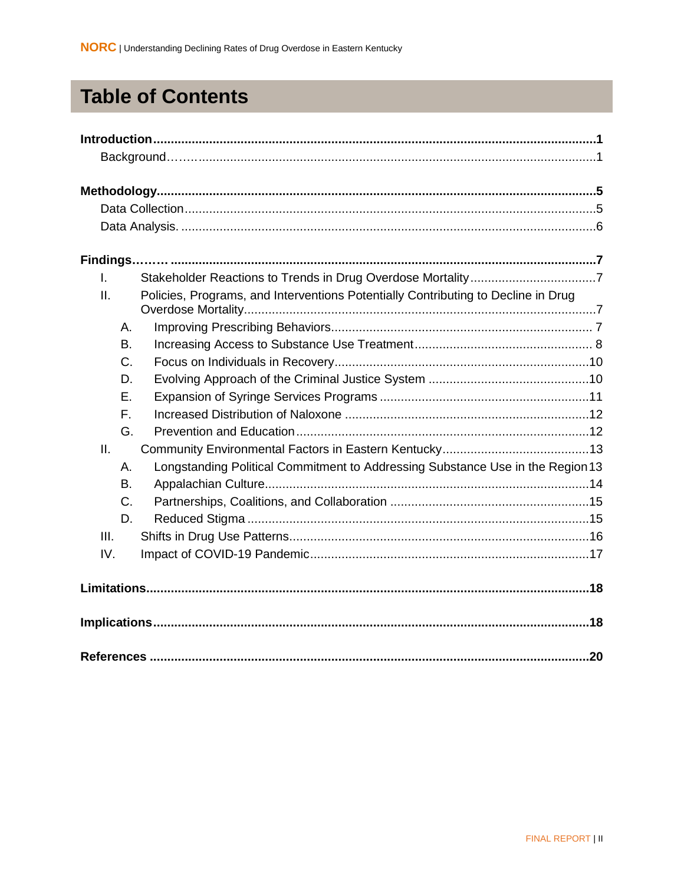# **Table of Contents**

| $\mathbf{L}$ |           |                                                                                   |  |
|--------------|-----------|-----------------------------------------------------------------------------------|--|
| II.          |           | Policies, Programs, and Interventions Potentially Contributing to Decline in Drug |  |
|              | A.        |                                                                                   |  |
|              | В.        |                                                                                   |  |
|              | C.        |                                                                                   |  |
|              | D.        |                                                                                   |  |
|              | E.        |                                                                                   |  |
|              | F.        |                                                                                   |  |
|              | G.        |                                                                                   |  |
| II.          |           |                                                                                   |  |
|              | Α.        | Longstanding Political Commitment to Addressing Substance Use in the Region 13    |  |
|              | <b>B.</b> |                                                                                   |  |
|              | C.        |                                                                                   |  |
|              | D.        |                                                                                   |  |
| III.         |           |                                                                                   |  |
| IV.          |           |                                                                                   |  |
|              |           |                                                                                   |  |
|              |           |                                                                                   |  |
|              |           |                                                                                   |  |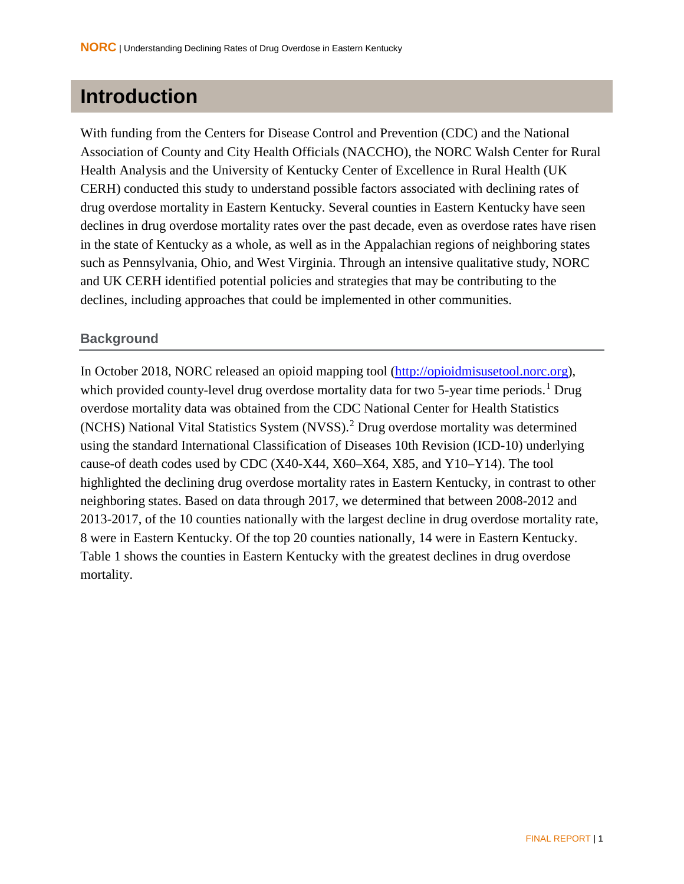### <span id="page-4-0"></span>**Introduction**

With funding from the Centers for Disease Control and Prevention (CDC) and the National Association of County and City Health Officials (NACCHO), the NORC Walsh Center for Rural Health Analysis and the University of Kentucky Center of Excellence in Rural Health (UK CERH) conducted this study to understand possible factors associated with declining rates of drug overdose mortality in Eastern Kentucky. Several counties in Eastern Kentucky have seen declines in drug overdose mortality rates over the past decade, even as overdose rates have risen in the state of Kentucky as a whole, as well as in the Appalachian regions of neighboring states such as Pennsylvania, Ohio, and West Virginia. Through an intensive qualitative study, NORC and UK CERH identified potential policies and strategies that may be contributing to the declines, including approaches that could be implemented in other communities.

#### <span id="page-4-1"></span>**Background**

In October 2018, NORC released an opioid mapping tool [\(http://opioidmisusetool.norc.org\)](http://opioidmisusetool.norc.org/), which provided county-level drug overdose mortality data for two 5-year time periods.<sup>[1](#page-24-0)</sup> Drug overdose mortality data was obtained from the CDC National Center for Health Statistics (NCHS) National Vital Statistics System (NVSS).[2](#page-24-1) Drug overdose mortality was determined using the standard International Classification of Diseases 10th Revision (ICD-10) underlying cause-of death codes used by CDC (X40-X44, X60–X64, X85, and Y10–Y14). The tool highlighted the declining drug overdose mortality rates in Eastern Kentucky, in contrast to other neighboring states. Based on data through 2017, we determined that between 2008-2012 and 2013-2017, of the 10 counties nationally with the largest decline in drug overdose mortality rate, 8 were in Eastern Kentucky. Of the top 20 counties nationally, 14 were in Eastern Kentucky. Table 1 shows the counties in Eastern Kentucky with the greatest declines in drug overdose mortality.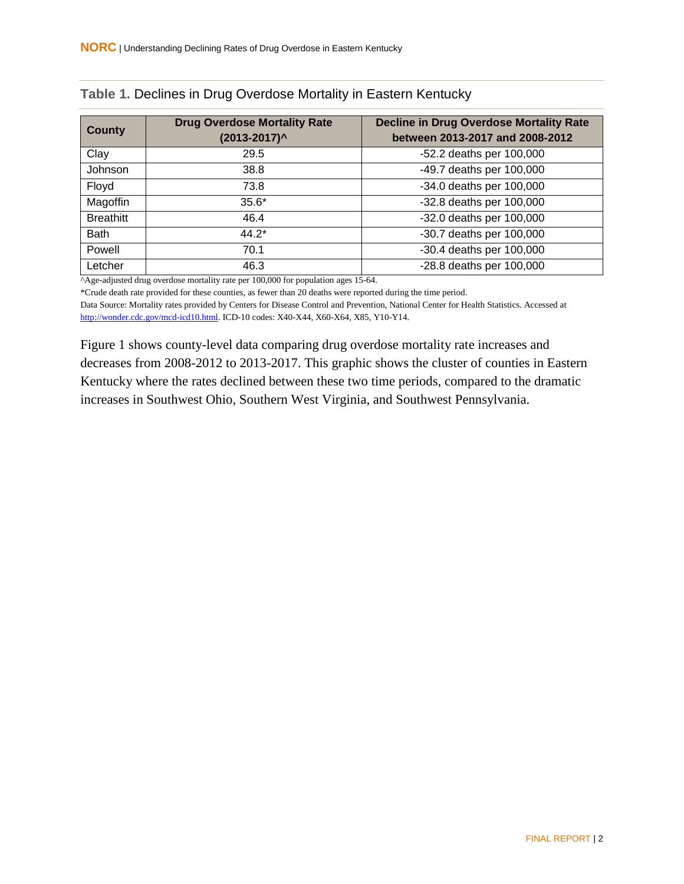| <b>County</b>    | <b>Drug Overdose Mortality Rate</b><br>(2013-2017)^ | <b>Decline in Drug Overdose Mortality Rate</b><br>between 2013-2017 and 2008-2012 |
|------------------|-----------------------------------------------------|-----------------------------------------------------------------------------------|
| Clay             | 29.5                                                | -52.2 deaths per 100,000                                                          |
| Johnson          | 38.8                                                | -49.7 deaths per 100,000                                                          |
| Floyd            | 73.8                                                | -34.0 deaths per 100,000                                                          |
| Magoffin         | $35.6*$                                             | -32.8 deaths per 100,000                                                          |
| <b>Breathitt</b> | 46.4                                                | -32.0 deaths per 100,000                                                          |
| <b>Bath</b>      | $44.2*$                                             | -30.7 deaths per 100,000                                                          |
| Powell           | 70.1                                                | -30.4 deaths per 100,000                                                          |
| Letcher          | 46.3                                                | -28.8 deaths per 100,000                                                          |

| Table 1. Declines in Drug Overdose Mortality in Eastern Kentucky |
|------------------------------------------------------------------|
|------------------------------------------------------------------|

^Age-adjusted drug overdose mortality rate per 100,000 for population ages 15-64.

\*Crude death rate provided for these counties, as fewer than 20 deaths were reported during the time period.

Data Source: Mortality rates provided by Centers for Disease Control and Prevention, National Center for Health Statistics. Accessed at http://wonder.cdc.gov/mcd-icd10.html. ICD-10 codes: X40-X44, X60-X64, X85, Y10-Y14.

Figure 1 shows county-level data comparing drug overdose mortality rate increases and decreases from 2008-2012 to 2013-2017. This graphic shows the cluster of counties in Eastern Kentucky where the rates declined between these two time periods, compared to the dramatic increases in Southwest Ohio, Southern West Virginia, and Southwest Pennsylvania.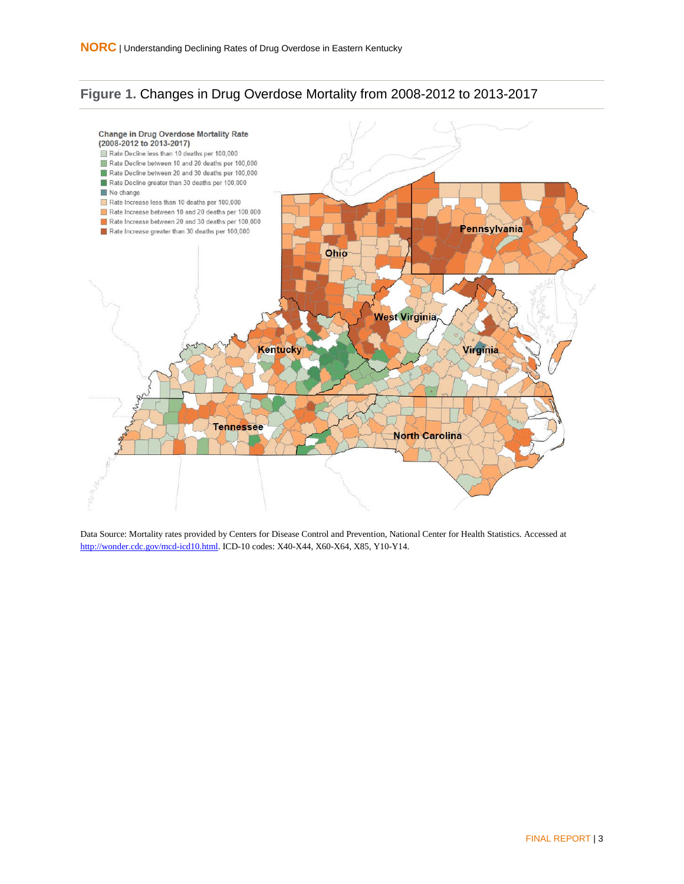#### **Figure 1.** Changes in Drug Overdose Mortality from 2008-2012 to 2013-2017



Data Source: Mortality rates provided by Centers for Disease Control and Prevention, National Center for Health Statistics. Accessed at [http://wonder.cdc.gov/mcd-icd10.html.](http://wonder.cdc.gov/mcd-icd10.html) ICD-10 codes: X40-X44, X60-X64, X85, Y10-Y14.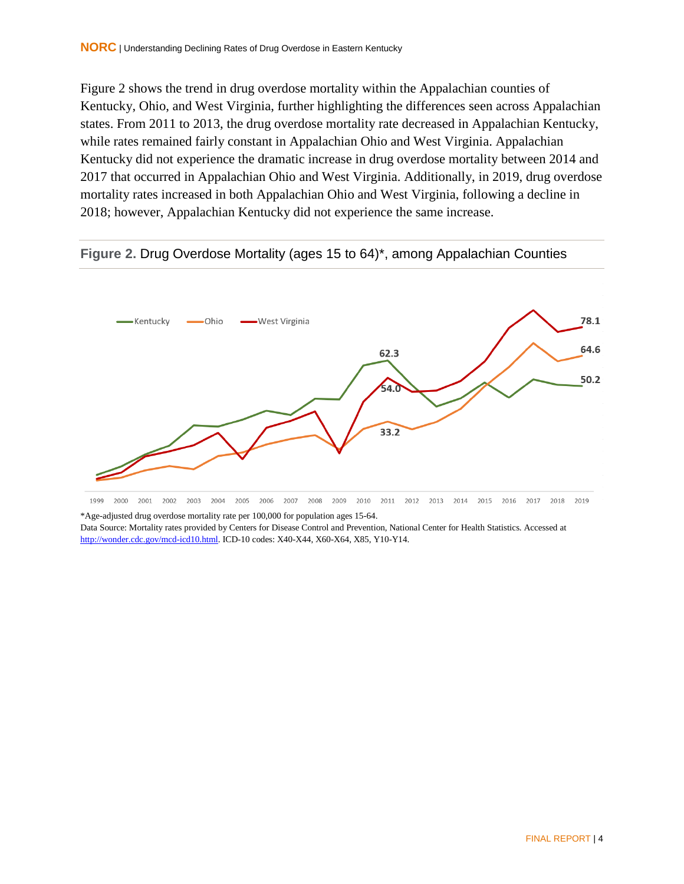Figure 2 shows the trend in drug overdose mortality within the Appalachian counties of Kentucky, Ohio, and West Virginia, further highlighting the differences seen across Appalachian states. From 2011 to 2013, the drug overdose mortality rate decreased in Appalachian Kentucky, while rates remained fairly constant in Appalachian Ohio and West Virginia. Appalachian Kentucky did not experience the dramatic increase in drug overdose mortality between 2014 and 2017 that occurred in Appalachian Ohio and West Virginia. Additionally, in 2019, drug overdose mortality rates increased in both Appalachian Ohio and West Virginia, following a decline in 2018; however, Appalachian Kentucky did not experience the same increase.





\*Age-adjusted drug overdose mortality rate per 100,000 for population ages 15-64. Data Source: Mortality rates provided by Centers for Disease Control and Prevention, National Center for Health Statistics. Accessed at [http://wonder.cdc.gov/mcd-icd10.html.](http://wonder.cdc.gov/mcd-icd10.html) ICD-10 codes: X40-X44, X60-X64, X85, Y10-Y14.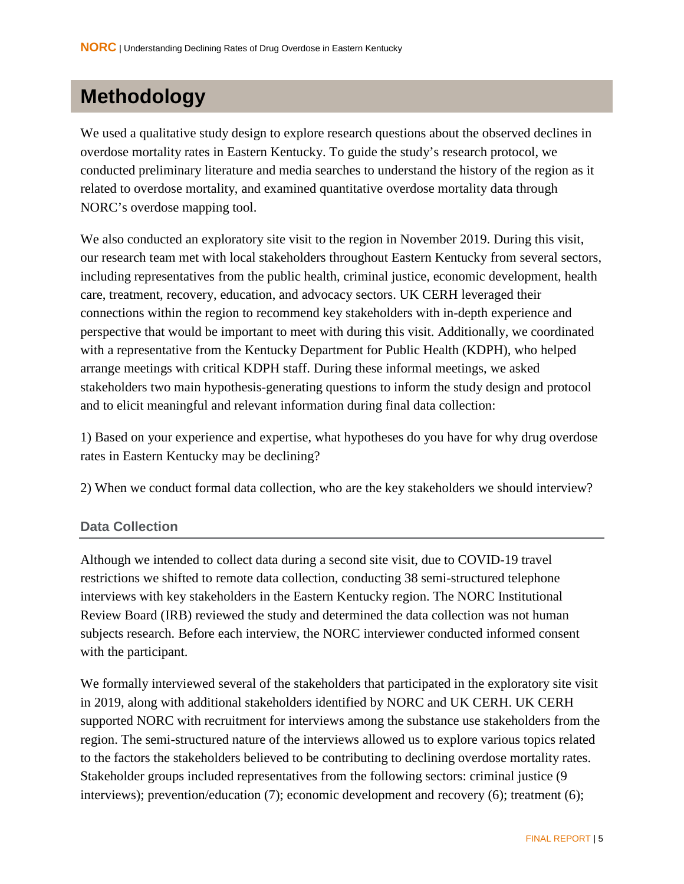## <span id="page-8-0"></span>**Methodology**

We used a qualitative study design to explore research questions about the observed declines in overdose mortality rates in Eastern Kentucky. To guide the study's research protocol, we conducted preliminary literature and media searches to understand the history of the region as it related to overdose mortality, and examined quantitative overdose mortality data through NORC's overdose mapping tool.

We also conducted an exploratory site visit to the region in November 2019. During this visit, our research team met with local stakeholders throughout Eastern Kentucky from several sectors, including representatives from the public health, criminal justice, economic development, health care, treatment, recovery, education, and advocacy sectors. UK CERH leveraged their connections within the region to recommend key stakeholders with in-depth experience and perspective that would be important to meet with during this visit. Additionally, we coordinated with a representative from the Kentucky Department for Public Health (KDPH), who helped arrange meetings with critical KDPH staff. During these informal meetings, we asked stakeholders two main hypothesis-generating questions to inform the study design and protocol and to elicit meaningful and relevant information during final data collection:

1) Based on your experience and expertise, what hypotheses do you have for why drug overdose rates in Eastern Kentucky may be declining?

2) When we conduct formal data collection, who are the key stakeholders we should interview?

#### <span id="page-8-1"></span>**Data Collection**

Although we intended to collect data during a second site visit, due to COVID-19 travel restrictions we shifted to remote data collection, conducting 38 semi-structured telephone interviews with key stakeholders in the Eastern Kentucky region. The NORC Institutional Review Board (IRB) reviewed the study and determined the data collection was not human subjects research. Before each interview, the NORC interviewer conducted informed consent with the participant.

We formally interviewed several of the stakeholders that participated in the exploratory site visit in 2019, along with additional stakeholders identified by NORC and UK CERH. UK CERH supported NORC with recruitment for interviews among the substance use stakeholders from the region. The semi-structured nature of the interviews allowed us to explore various topics related to the factors the stakeholders believed to be contributing to declining overdose mortality rates. Stakeholder groups included representatives from the following sectors: criminal justice (9 interviews); prevention/education (7); economic development and recovery (6); treatment (6);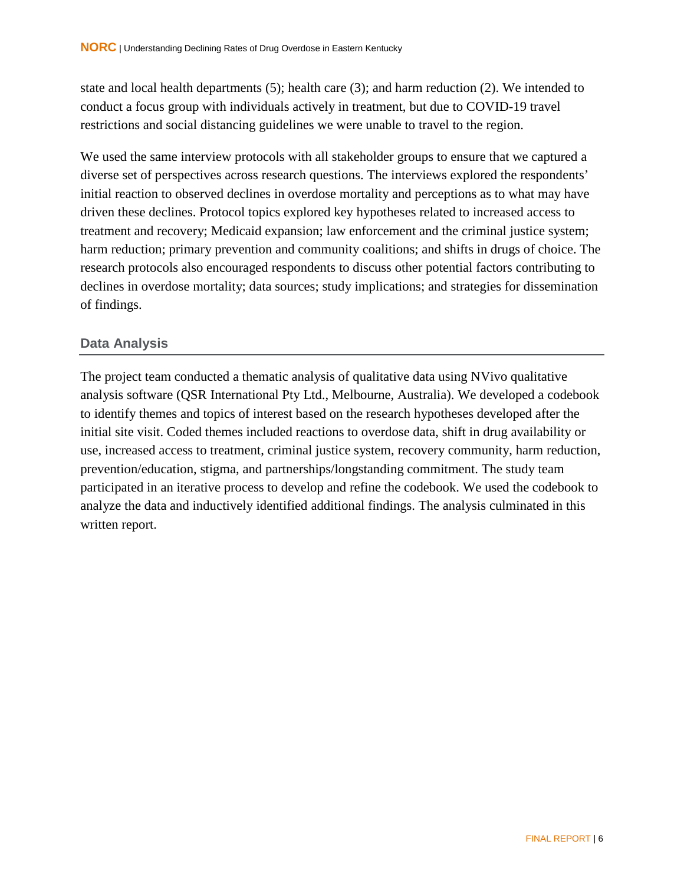state and local health departments (5); health care (3); and harm reduction (2). We intended to conduct a focus group with individuals actively in treatment, but due to COVID-19 travel restrictions and social distancing guidelines we were unable to travel to the region.

We used the same interview protocols with all stakeholder groups to ensure that we captured a diverse set of perspectives across research questions. The interviews explored the respondents' initial reaction to observed declines in overdose mortality and perceptions as to what may have driven these declines. Protocol topics explored key hypotheses related to increased access to treatment and recovery; Medicaid expansion; law enforcement and the criminal justice system; harm reduction; primary prevention and community coalitions; and shifts in drugs of choice. The research protocols also encouraged respondents to discuss other potential factors contributing to declines in overdose mortality; data sources; study implications; and strategies for dissemination of findings.

#### <span id="page-9-0"></span>**Data Analysis**

The project team conducted a thematic analysis of qualitative data using NVivo qualitative analysis software (QSR International Pty Ltd., Melbourne, Australia). We developed a codebook to identify themes and topics of interest based on the research hypotheses developed after the initial site visit. Coded themes included reactions to overdose data, shift in drug availability or use, increased access to treatment, criminal justice system, recovery community, harm reduction, prevention/education, stigma, and partnerships/longstanding commitment. The study team participated in an iterative process to develop and refine the codebook. We used the codebook to analyze the data and inductively identified additional findings. The analysis culminated in this written report.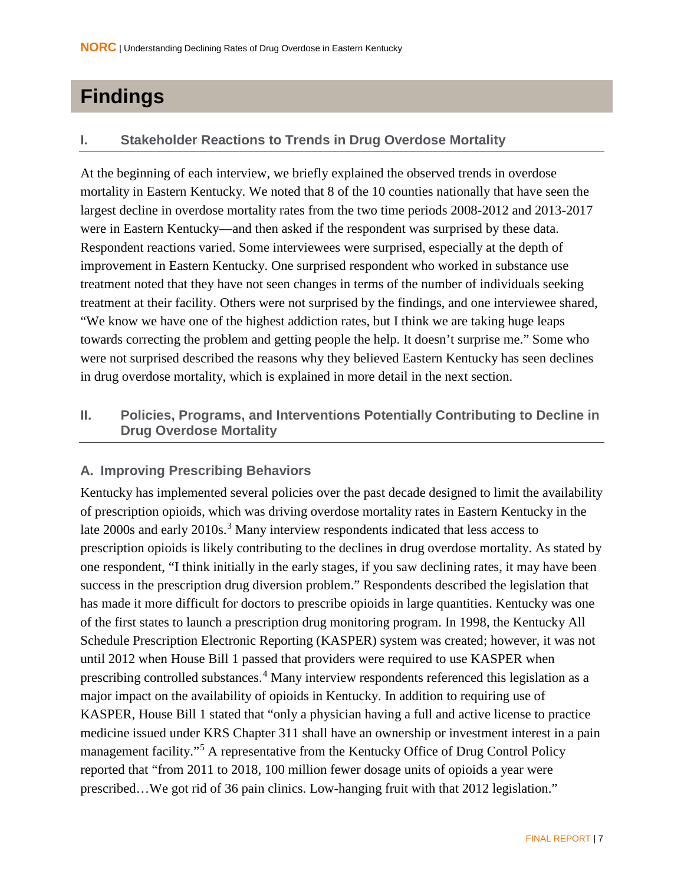### <span id="page-10-0"></span>**Findings**

#### <span id="page-10-1"></span>**I. Stakeholder Reactions to Trends in Drug Overdose Mortality**

At the beginning of each interview, we briefly explained the observed trends in overdose mortality in Eastern Kentucky. We noted that 8 of the 10 counties nationally that have seen the largest decline in overdose mortality rates from the two time periods 2008-2012 and 2013-2017 were in Eastern Kentucky—and then asked if the respondent was surprised by these data. Respondent reactions varied. Some interviewees were surprised, especially at the depth of improvement in Eastern Kentucky. One surprised respondent who worked in substance use treatment noted that they have not seen changes in terms of the number of individuals seeking treatment at their facility. Others were not surprised by the findings, and one interviewee shared, "We know we have one of the highest addiction rates, but I think we are taking huge leaps towards correcting the problem and getting people the help. It doesn't surprise me." Some who were not surprised described the reasons why they believed Eastern Kentucky has seen declines in drug overdose mortality, which is explained in more detail in the next section.

#### <span id="page-10-2"></span>**II. Policies, Programs, and Interventions Potentially Contributing to Decline in Drug Overdose Mortality**

#### <span id="page-10-3"></span>**A. Improving Prescribing Behaviors**

Kentucky has implemented several policies over the past decade designed to limit the availability of prescription opioids, which was driving overdose mortality rates in Eastern Kentucky in the late 2000s and early 2010s.<sup>[3](#page-24-2)</sup> Many interview respondents indicated that less access to prescription opioids is likely contributing to the declines in drug overdose mortality. As stated by one respondent, "I think initially in the early stages, if you saw declining rates, it may have been success in the prescription drug diversion problem." Respondents described the legislation that has made it more difficult for doctors to prescribe opioids in large quantities. Kentucky was one of the first states to launch a prescription drug monitoring program. In 1998, the Kentucky All Schedule Prescription Electronic Reporting (KASPER) system was created; however, it was not until 2012 when House Bill 1 passed that providers were required to use KASPER when prescribing controlled substances.<sup>[4](#page-24-3)</sup> Many interview respondents referenced this legislation as a major impact on the availability of opioids in Kentucky. In addition to requiring use of KASPER, House Bill 1 stated that "only a physician having a full and active license to practice medicine issued under KRS Chapter 311 shall have an ownership or investment interest in a pain management facility."[5](#page-24-4) A representative from the Kentucky Office of Drug Control Policy reported that "from 2011 to 2018, 100 million fewer dosage units of opioids a year were prescribed…We got rid of 36 pain clinics. Low-hanging fruit with that 2012 legislation."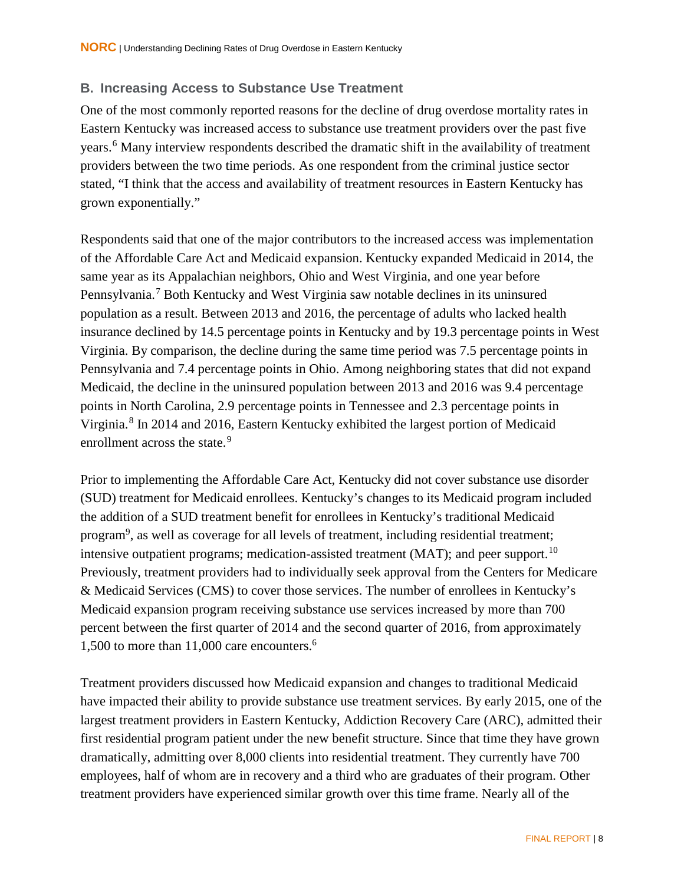#### <span id="page-11-0"></span>**B. Increasing Access to Substance Use Treatment**

<span id="page-11-2"></span>One of the most commonly reported reasons for the decline of drug overdose mortality rates in Eastern Kentucky was increased access to substance use treatment providers over the past five years.[6](#page-24-5) Many interview respondents described the dramatic shift in the availability of treatment providers between the two time periods. As one respondent from the criminal justice sector stated, "I think that the access and availability of treatment resources in Eastern Kentucky has grown exponentially."

Respondents said that one of the major contributors to the increased access was implementation of the Affordable Care Act and Medicaid expansion. Kentucky expanded Medicaid in 2014, the same year as its Appalachian neighbors, Ohio and West Virginia, and one year before Pennsylvania.[7](#page-24-6) Both Kentucky and West Virginia saw notable declines in its uninsured population as a result. Between 2013 and 2016, the percentage of adults who lacked health insurance declined by 14.5 percentage points in Kentucky and by 19.3 percentage points in West Virginia. By comparison, the decline during the same time period was 7.5 percentage points in Pennsylvania and 7.4 percentage points in Ohio. Among neighboring states that did not expand Medicaid, the decline in the uninsured population between 2013 and 2016 was 9.4 percentage points in North Carolina, 2.9 percentage points in Tennessee and 2.3 percentage points in Virginia.[8](#page-24-7) In 2014 and 2016, Eastern Kentucky exhibited the largest portion of Medicaid enrollment across the state.<sup>[9](#page-24-8)</sup>

<span id="page-11-1"></span>Prior to implementing the Affordable Care Act, Kentucky did not cover substance use disorder (SUD) treatment for Medicaid enrollees. Kentucky's changes to its Medicaid program included the addition of a SUD treatment benefit for enrollees in Kentucky's traditional Medicaid program<sup>[9](#page-11-1)</sup>, as well as coverage for all levels of treatment, including residential treatment; intensive outpatient programs; medication-assisted treatment (MAT); and peer support.<sup>[10](#page-24-9)</sup> Previously, treatment providers had to individually seek approval from the Centers for Medicare & Medicaid Services (CMS) to cover those services. The number of enrollees in Kentucky's Medicaid expansion program receiving substance use services increased by more than 700 percent between the first quarter of 2014 and the second quarter of 2016, from approximately 1,500 to more than 11,000 care encounters. [6](#page-11-2)

Treatment providers discussed how Medicaid expansion and changes to traditional Medicaid have impacted their ability to provide substance use treatment services. By early 2015, one of the largest treatment providers in Eastern Kentucky, Addiction Recovery Care (ARC), admitted their first residential program patient under the new benefit structure. Since that time they have grown dramatically, admitting over 8,000 clients into residential treatment. They currently have 700 employees, half of whom are in recovery and a third who are graduates of their program. Other treatment providers have experienced similar growth over this time frame. Nearly all of the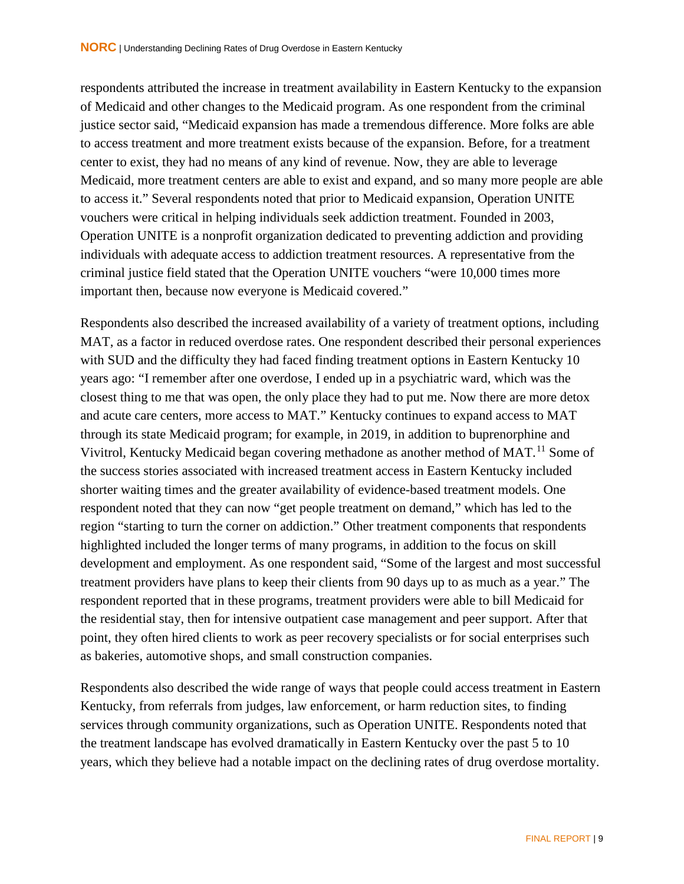respondents attributed the increase in treatment availability in Eastern Kentucky to the expansion of Medicaid and other changes to the Medicaid program. As one respondent from the criminal justice sector said, "Medicaid expansion has made a tremendous difference. More folks are able to access treatment and more treatment exists because of the expansion. Before, for a treatment center to exist, they had no means of any kind of revenue. Now, they are able to leverage Medicaid, more treatment centers are able to exist and expand, and so many more people are able to access it." Several respondents noted that prior to Medicaid expansion, Operation UNITE vouchers were critical in helping individuals seek addiction treatment. Founded in 2003, Operation UNITE is a nonprofit organization dedicated to preventing addiction and providing individuals with adequate access to addiction treatment resources. A representative from the criminal justice field stated that the Operation UNITE vouchers "were 10,000 times more important then, because now everyone is Medicaid covered."

Respondents also described the increased availability of a variety of treatment options, including MAT, as a factor in reduced overdose rates. One respondent described their personal experiences with SUD and the difficulty they had faced finding treatment options in Eastern Kentucky 10 years ago: "I remember after one overdose, I ended up in a psychiatric ward, which was the closest thing to me that was open, the only place they had to put me. Now there are more detox and acute care centers, more access to MAT." Kentucky continues to expand access to MAT through its state Medicaid program; for example, in 2019, in addition to buprenorphine and Vivitrol, Kentucky Medicaid began covering methadone as another method of MAT.<sup>[11](#page-24-10)</sup> Some of the success stories associated with increased treatment access in Eastern Kentucky included shorter waiting times and the greater availability of evidence-based treatment models. One respondent noted that they can now "get people treatment on demand," which has led to the region "starting to turn the corner on addiction." Other treatment components that respondents highlighted included the longer terms of many programs, in addition to the focus on skill development and employment. As one respondent said, "Some of the largest and most successful treatment providers have plans to keep their clients from 90 days up to as much as a year." The respondent reported that in these programs, treatment providers were able to bill Medicaid for the residential stay, then for intensive outpatient case management and peer support. After that point, they often hired clients to work as peer recovery specialists or for social enterprises such as bakeries, automotive shops, and small construction companies.

Respondents also described the wide range of ways that people could access treatment in Eastern Kentucky, from referrals from judges, law enforcement, or harm reduction sites, to finding services through community organizations, such as Operation UNITE. Respondents noted that the treatment landscape has evolved dramatically in Eastern Kentucky over the past 5 to 10 years, which they believe had a notable impact on the declining rates of drug overdose mortality.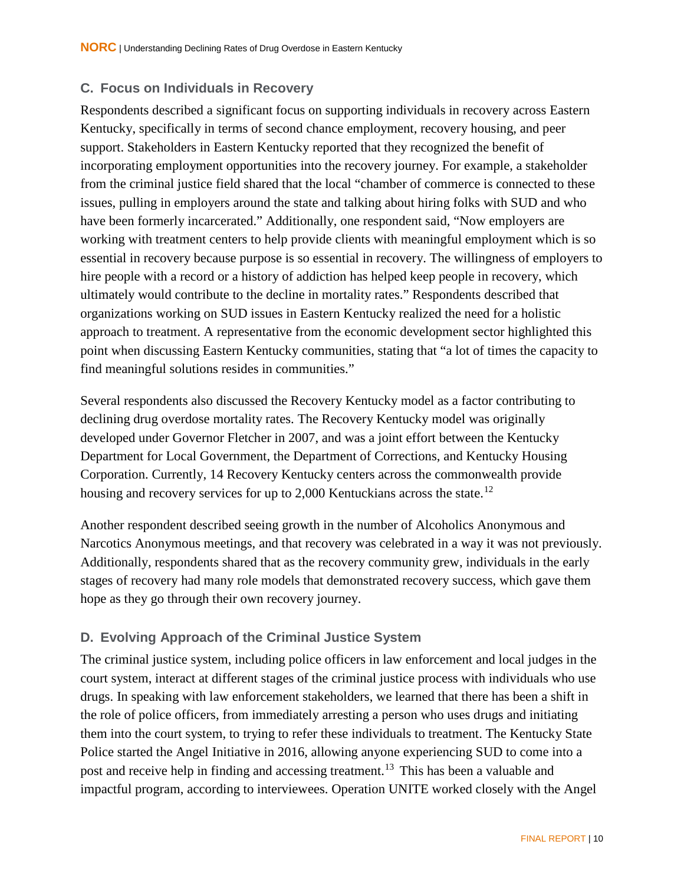#### <span id="page-13-0"></span>**C. Focus on Individuals in Recovery**

Respondents described a significant focus on supporting individuals in recovery across Eastern Kentucky, specifically in terms of second chance employment, recovery housing, and peer support. Stakeholders in Eastern Kentucky reported that they recognized the benefit of incorporating employment opportunities into the recovery journey. For example, a stakeholder from the criminal justice field shared that the local "chamber of commerce is connected to these issues, pulling in employers around the state and talking about hiring folks with SUD and who have been formerly incarcerated." Additionally, one respondent said, "Now employers are working with treatment centers to help provide clients with meaningful employment which is so essential in recovery because purpose is so essential in recovery. The willingness of employers to hire people with a record or a history of addiction has helped keep people in recovery, which ultimately would contribute to the decline in mortality rates." Respondents described that organizations working on SUD issues in Eastern Kentucky realized the need for a holistic approach to treatment. A representative from the economic development sector highlighted this point when discussing Eastern Kentucky communities, stating that "a lot of times the capacity to find meaningful solutions resides in communities."

Several respondents also discussed the Recovery Kentucky model as a factor contributing to declining drug overdose mortality rates. The Recovery Kentucky model was originally developed under Governor Fletcher in 2007, and was a joint effort between the Kentucky Department for Local Government, the Department of Corrections, and Kentucky Housing Corporation. Currently, 14 Recovery Kentucky centers across the commonwealth provide housing and recovery services for up to 2,000 Kentuckians across the state.<sup>[12](#page-24-11)</sup>

Another respondent described seeing growth in the number of Alcoholics Anonymous and Narcotics Anonymous meetings, and that recovery was celebrated in a way it was not previously. Additionally, respondents shared that as the recovery community grew, individuals in the early stages of recovery had many role models that demonstrated recovery success, which gave them hope as they go through their own recovery journey.

#### <span id="page-13-1"></span>**D. Evolving Approach of the Criminal Justice System**

The criminal justice system, including police officers in law enforcement and local judges in the court system, interact at different stages of the criminal justice process with individuals who use drugs. In speaking with law enforcement stakeholders, we learned that there has been a shift in the role of police officers, from immediately arresting a person who uses drugs and initiating them into the court system, to trying to refer these individuals to treatment. The Kentucky State Police started the Angel Initiative in 2016, allowing anyone experiencing SUD to come into a post and receive help in finding and accessing treatment.<sup>[13](#page-24-12)</sup> This has been a valuable and impactful program, according to interviewees. Operation UNITE worked closely with the Angel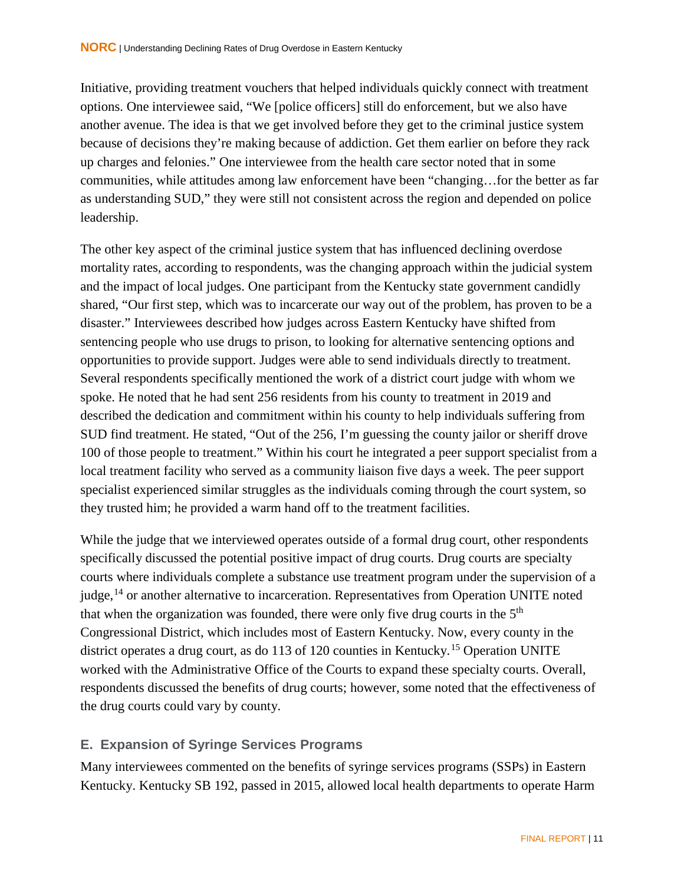Initiative, providing treatment vouchers that helped individuals quickly connect with treatment options. One interviewee said, "We [police officers] still do enforcement, but we also have another avenue. The idea is that we get involved before they get to the criminal justice system because of decisions they're making because of addiction. Get them earlier on before they rack up charges and felonies." One interviewee from the health care sector noted that in some communities, while attitudes among law enforcement have been "changing…for the better as far as understanding SUD," they were still not consistent across the region and depended on police leadership.

The other key aspect of the criminal justice system that has influenced declining overdose mortality rates, according to respondents, was the changing approach within the judicial system and the impact of local judges. One participant from the Kentucky state government candidly shared, "Our first step, which was to incarcerate our way out of the problem, has proven to be a disaster." Interviewees described how judges across Eastern Kentucky have shifted from sentencing people who use drugs to prison, to looking for alternative sentencing options and opportunities to provide support. Judges were able to send individuals directly to treatment. Several respondents specifically mentioned the work of a district court judge with whom we spoke. He noted that he had sent 256 residents from his county to treatment in 2019 and described the dedication and commitment within his county to help individuals suffering from SUD find treatment. He stated, "Out of the 256, I'm guessing the county jailor or sheriff drove 100 of those people to treatment." Within his court he integrated a peer support specialist from a local treatment facility who served as a community liaison five days a week. The peer support specialist experienced similar struggles as the individuals coming through the court system, so they trusted him; he provided a warm hand off to the treatment facilities.

While the judge that we interviewed operates outside of a formal drug court, other respondents specifically discussed the potential positive impact of drug courts. Drug courts are specialty courts where individuals complete a substance use treatment program under the supervision of a judge,<sup>[14](#page-24-13)</sup> or another alternative to incarceration. Representatives from Operation UNITE noted that when the organization was founded, there were only five drug courts in the 5<sup>th</sup> Congressional District, which includes most of Eastern Kentucky. Now, every county in the district operates a drug court, as do 113 of 120 counties in Kentucky.<sup>[15](#page-24-14)</sup> Operation UNITE worked with the Administrative Office of the Courts to expand these specialty courts. Overall, respondents discussed the benefits of drug courts; however, some noted that the effectiveness of the drug courts could vary by county.

#### <span id="page-14-0"></span>**E. Expansion of Syringe Services Programs**

Many interviewees commented on the benefits of syringe services programs (SSPs) in Eastern Kentucky. Kentucky SB 192, passed in 2015, allowed local health departments to operate Harm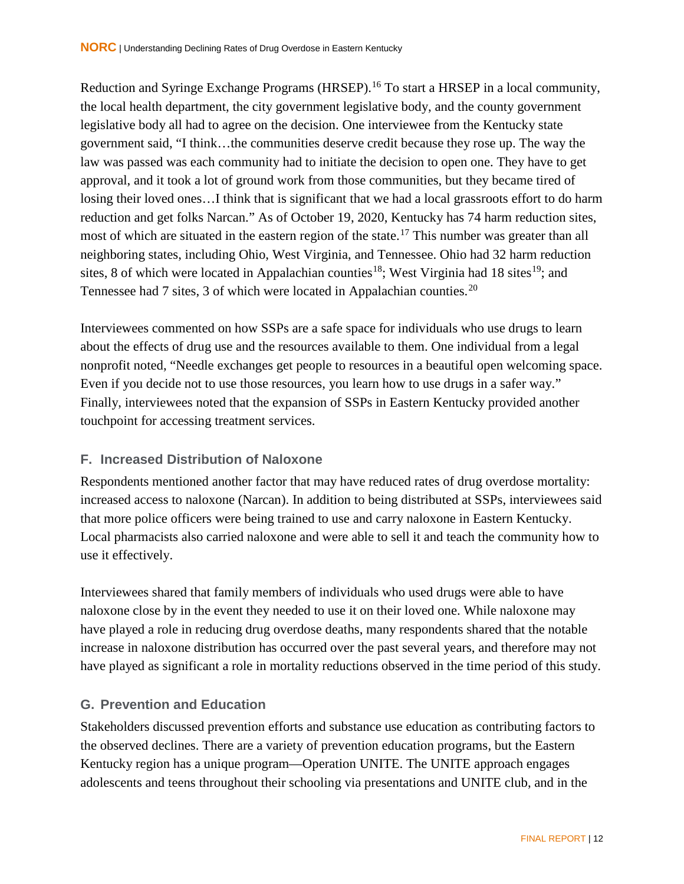Reduction and Syringe Exchange Programs (HRSEP).<sup>[16](#page-24-15)</sup> To start a HRSEP in a local community, the local health department, the city government legislative body, and the county government legislative body all had to agree on the decision. One interviewee from the Kentucky state government said, "I think…the communities deserve credit because they rose up. The way the law was passed was each community had to initiate the decision to open one. They have to get approval, and it took a lot of ground work from those communities, but they became tired of losing their loved ones…I think that is significant that we had a local grassroots effort to do harm reduction and get folks Narcan." As of October 19, 2020, Kentucky has 74 harm reduction sites, most of which are situated in the eastern region of the state.<sup>[17](#page-24-16)</sup> This number was greater than all neighboring states, including Ohio, West Virginia, and Tennessee. Ohio had 32 harm reduction sites, 8 of which were located in Appalachian counties<sup>[18](#page-24-17)</sup>; West Virginia had 18 sites<sup>19</sup>; and Tennessee had 7 sites, 3 of which were located in Appalachian counties.<sup>[20](#page-24-19)</sup>

Interviewees commented on how SSPs are a safe space for individuals who use drugs to learn about the effects of drug use and the resources available to them. One individual from a legal nonprofit noted, "Needle exchanges get people to resources in a beautiful open welcoming space. Even if you decide not to use those resources, you learn how to use drugs in a safer way." Finally, interviewees noted that the expansion of SSPs in Eastern Kentucky provided another touchpoint for accessing treatment services.

#### <span id="page-15-0"></span>**F. Increased Distribution of Naloxone**

Respondents mentioned another factor that may have reduced rates of drug overdose mortality: increased access to naloxone (Narcan). In addition to being distributed at SSPs, interviewees said that more police officers were being trained to use and carry naloxone in Eastern Kentucky. Local pharmacists also carried naloxone and were able to sell it and teach the community how to use it effectively.

Interviewees shared that family members of individuals who used drugs were able to have naloxone close by in the event they needed to use it on their loved one. While naloxone may have played a role in reducing drug overdose deaths, many respondents shared that the notable increase in naloxone distribution has occurred over the past several years, and therefore may not have played as significant a role in mortality reductions observed in the time period of this study.

#### <span id="page-15-1"></span>**G. Prevention and Education**

Stakeholders discussed prevention efforts and substance use education as contributing factors to the observed declines. There are a variety of prevention education programs, but the Eastern Kentucky region has a unique program—Operation UNITE. The UNITE approach engages adolescents and teens throughout their schooling via presentations and UNITE club, and in the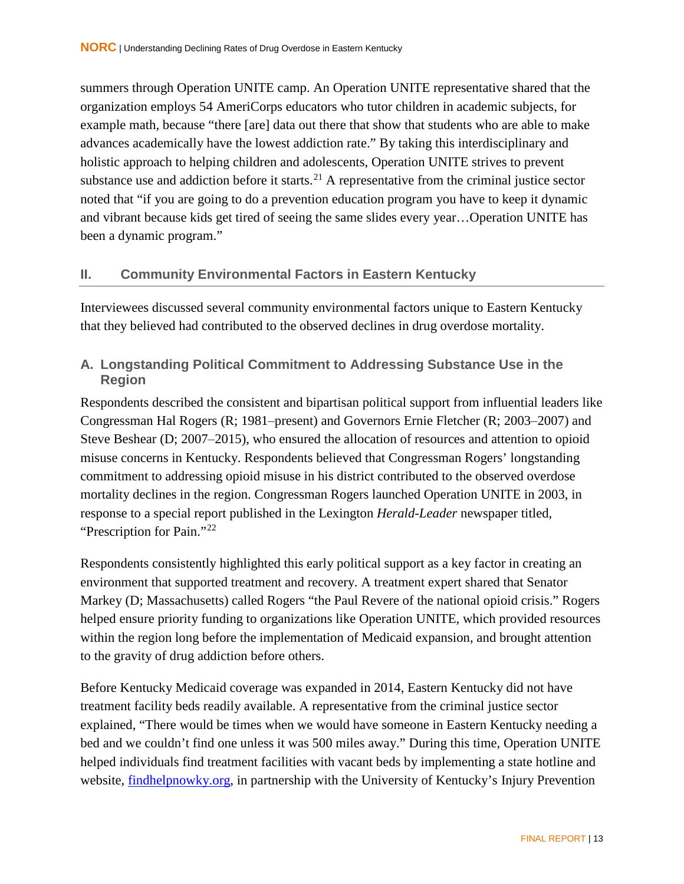summers through Operation UNITE camp. An Operation UNITE representative shared that the organization employs 54 AmeriCorps educators who tutor children in academic subjects, for example math, because "there [are] data out there that show that students who are able to make advances academically have the lowest addiction rate." By taking this interdisciplinary and holistic approach to helping children and adolescents, Operation UNITE strives to prevent substance use and addiction before it starts.<sup>[21](#page-24-20)</sup> A representative from the criminal justice sector noted that "if you are going to do a prevention education program you have to keep it dynamic and vibrant because kids get tired of seeing the same slides every year…Operation UNITE has been a dynamic program."

#### <span id="page-16-0"></span>**II. Community Environmental Factors in Eastern Kentucky**

Interviewees discussed several community environmental factors unique to Eastern Kentucky that they believed had contributed to the observed declines in drug overdose mortality.

#### <span id="page-16-1"></span>**A. Longstanding Political Commitment to Addressing Substance Use in the Region**

Respondents described the consistent and bipartisan political support from influential leaders like Congressman Hal Rogers (R; 1981–present) and Governors Ernie Fletcher (R; 2003–2007) and Steve Beshear (D; 2007–2015), who ensured the allocation of resources and attention to opioid misuse concerns in Kentucky. Respondents believed that Congressman Rogers' longstanding commitment to addressing opioid misuse in his district contributed to the observed overdose mortality declines in the region. Congressman Rogers launched Operation UNITE in 2003, in response to a special report published in the Lexington *Herald-Leader* newspaper titled, "Prescription for Pain."<sup>[22](#page-24-21)</sup>

Respondents consistently highlighted this early political support as a key factor in creating an environment that supported treatment and recovery. A treatment expert shared that Senator Markey (D; Massachusetts) called Rogers "the Paul Revere of the national opioid crisis." Rogers helped ensure priority funding to organizations like Operation UNITE, which provided resources within the region long before the implementation of Medicaid expansion, and brought attention to the gravity of drug addiction before others.

Before Kentucky Medicaid coverage was expanded in 2014, Eastern Kentucky did not have treatment facility beds readily available. A representative from the criminal justice sector explained, "There would be times when we would have someone in Eastern Kentucky needing a bed and we couldn't find one unless it was 500 miles away." During this time, Operation UNITE helped individuals find treatment facilities with vacant beds by implementing a state hotline and website, [findhelpnowky.org,](https://findhelpnowky.org/ky) in partnership with the University of Kentucky's Injury Prevention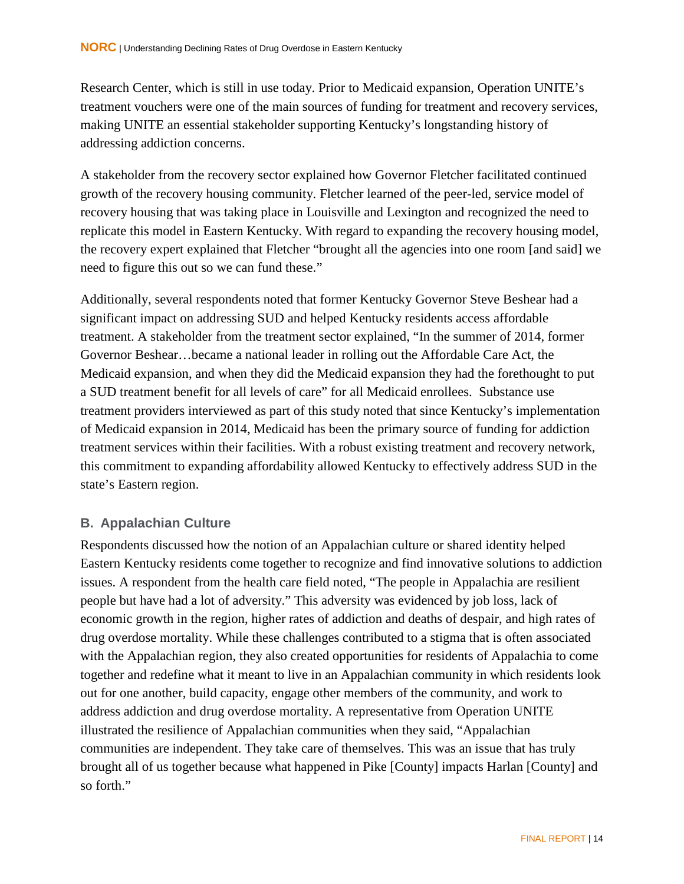Research Center, which is still in use today. Prior to Medicaid expansion, Operation UNITE's treatment vouchers were one of the main sources of funding for treatment and recovery services, making UNITE an essential stakeholder supporting Kentucky's longstanding history of addressing addiction concerns.

A stakeholder from the recovery sector explained how Governor Fletcher facilitated continued growth of the recovery housing community. Fletcher learned of the peer-led, service model of recovery housing that was taking place in Louisville and Lexington and recognized the need to replicate this model in Eastern Kentucky. With regard to expanding the recovery housing model, the recovery expert explained that Fletcher "brought all the agencies into one room [and said] we need to figure this out so we can fund these."

Additionally, several respondents noted that former Kentucky Governor Steve Beshear had a significant impact on addressing SUD and helped Kentucky residents access affordable treatment. A stakeholder from the treatment sector explained, "In the summer of 2014, former Governor Beshear…became a national leader in rolling out the Affordable Care Act, the Medicaid expansion, and when they did the Medicaid expansion they had the forethought to put a SUD treatment benefit for all levels of care" for all Medicaid enrollees. Substance use treatment providers interviewed as part of this study noted that since Kentucky's implementation of Medicaid expansion in 2014, Medicaid has been the primary source of funding for addiction treatment services within their facilities. With a robust existing treatment and recovery network, this commitment to expanding affordability allowed Kentucky to effectively address SUD in the state's Eastern region.

#### <span id="page-17-0"></span>**B. Appalachian Culture**

Respondents discussed how the notion of an Appalachian culture or shared identity helped Eastern Kentucky residents come together to recognize and find innovative solutions to addiction issues. A respondent from the health care field noted, "The people in Appalachia are resilient people but have had a lot of adversity." This adversity was evidenced by job loss, lack of economic growth in the region, higher rates of addiction and deaths of despair, and high rates of drug overdose mortality. While these challenges contributed to a stigma that is often associated with the Appalachian region, they also created opportunities for residents of Appalachia to come together and redefine what it meant to live in an Appalachian community in which residents look out for one another, build capacity, engage other members of the community, and work to address addiction and drug overdose mortality. A representative from Operation UNITE illustrated the resilience of Appalachian communities when they said, "Appalachian communities are independent. They take care of themselves. This was an issue that has truly brought all of us together because what happened in Pike [County] impacts Harlan [County] and so forth."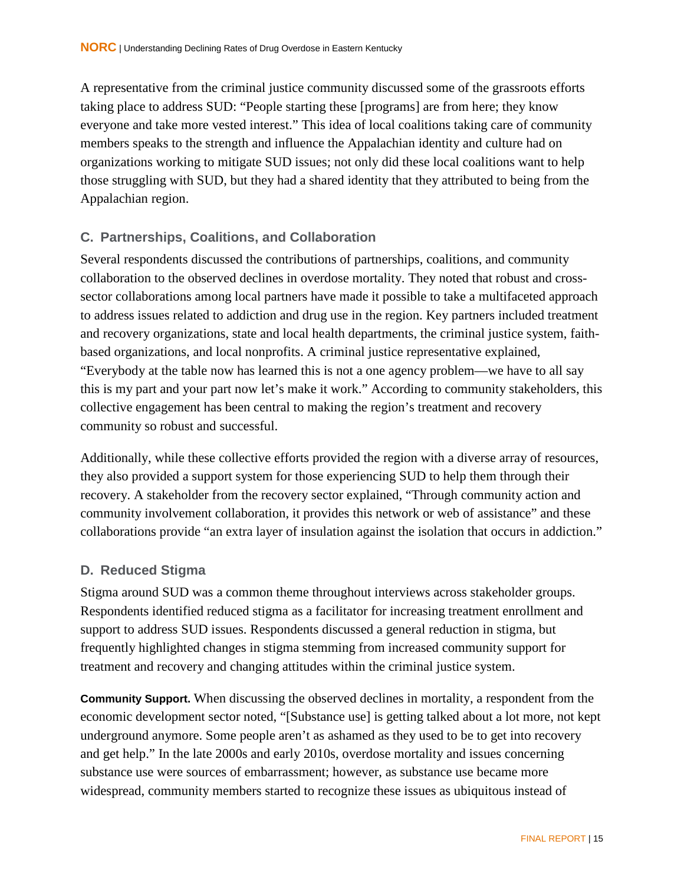A representative from the criminal justice community discussed some of the grassroots efforts taking place to address SUD: "People starting these [programs] are from here; they know everyone and take more vested interest." This idea of local coalitions taking care of community members speaks to the strength and influence the Appalachian identity and culture had on organizations working to mitigate SUD issues; not only did these local coalitions want to help those struggling with SUD, but they had a shared identity that they attributed to being from the Appalachian region.

#### <span id="page-18-0"></span>**C. Partnerships, Coalitions, and Collaboration**

Several respondents discussed the contributions of partnerships, coalitions, and community collaboration to the observed declines in overdose mortality. They noted that robust and crosssector collaborations among local partners have made it possible to take a multifaceted approach to address issues related to addiction and drug use in the region. Key partners included treatment and recovery organizations, state and local health departments, the criminal justice system, faithbased organizations, and local nonprofits. A criminal justice representative explained, "Everybody at the table now has learned this is not a one agency problem—we have to all say this is my part and your part now let's make it work." According to community stakeholders, this collective engagement has been central to making the region's treatment and recovery community so robust and successful.

Additionally, while these collective efforts provided the region with a diverse array of resources, they also provided a support system for those experiencing SUD to help them through their recovery. A stakeholder from the recovery sector explained, "Through community action and community involvement collaboration, it provides this network or web of assistance" and these collaborations provide "an extra layer of insulation against the isolation that occurs in addiction."

#### <span id="page-18-1"></span>**D. Reduced Stigma**

Stigma around SUD was a common theme throughout interviews across stakeholder groups. Respondents identified reduced stigma as a facilitator for increasing treatment enrollment and support to address SUD issues. Respondents discussed a general reduction in stigma, but frequently highlighted changes in stigma stemming from increased community support for treatment and recovery and changing attitudes within the criminal justice system.

**Community Support.** When discussing the observed declines in mortality, a respondent from the economic development sector noted, "[Substance use] is getting talked about a lot more, not kept underground anymore. Some people aren't as ashamed as they used to be to get into recovery and get help." In the late 2000s and early 2010s, overdose mortality and issues concerning substance use were sources of embarrassment; however, as substance use became more widespread, community members started to recognize these issues as ubiquitous instead of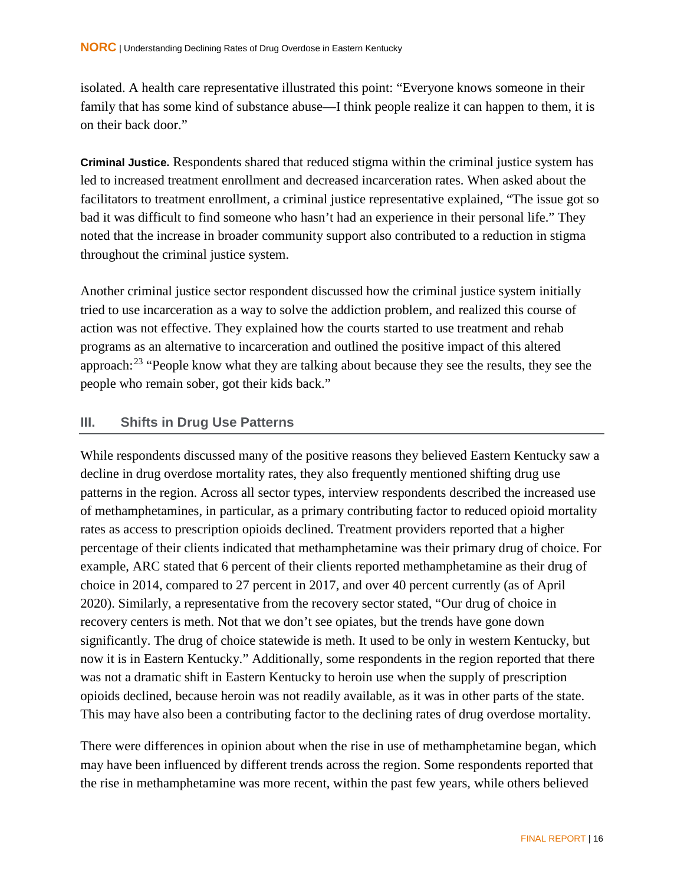isolated. A health care representative illustrated this point: "Everyone knows someone in their family that has some kind of substance abuse—I think people realize it can happen to them, it is on their back door."

**Criminal Justice.** Respondents shared that reduced stigma within the criminal justice system has led to increased treatment enrollment and decreased incarceration rates. When asked about the facilitators to treatment enrollment, a criminal justice representative explained, "The issue got so bad it was difficult to find someone who hasn't had an experience in their personal life." They noted that the increase in broader community support also contributed to a reduction in stigma throughout the criminal justice system.

Another criminal justice sector respondent discussed how the criminal justice system initially tried to use incarceration as a way to solve the addiction problem, and realized this course of action was not effective. They explained how the courts started to use treatment and rehab programs as an alternative to incarceration and outlined the positive impact of this altered approach:<sup>[23](#page-24-22)</sup> "People know what they are talking about because they see the results, they see the people who remain sober, got their kids back."

#### <span id="page-19-0"></span>**III. Shifts in Drug Use Patterns**

While respondents discussed many of the positive reasons they believed Eastern Kentucky saw a decline in drug overdose mortality rates, they also frequently mentioned shifting drug use patterns in the region. Across all sector types, interview respondents described the increased use of methamphetamines, in particular, as a primary contributing factor to reduced opioid mortality rates as access to prescription opioids declined. Treatment providers reported that a higher percentage of their clients indicated that methamphetamine was their primary drug of choice. For example, ARC stated that 6 percent of their clients reported methamphetamine as their drug of choice in 2014, compared to 27 percent in 2017, and over 40 percent currently (as of April 2020). Similarly, a representative from the recovery sector stated, "Our drug of choice in recovery centers is meth. Not that we don't see opiates, but the trends have gone down significantly. The drug of choice statewide is meth. It used to be only in western Kentucky, but now it is in Eastern Kentucky." Additionally, some respondents in the region reported that there was not a dramatic shift in Eastern Kentucky to heroin use when the supply of prescription opioids declined, because heroin was not readily available, as it was in other parts of the state. This may have also been a contributing factor to the declining rates of drug overdose mortality.

There were differences in opinion about when the rise in use of methamphetamine began, which may have been influenced by different trends across the region. Some respondents reported that the rise in methamphetamine was more recent, within the past few years, while others believed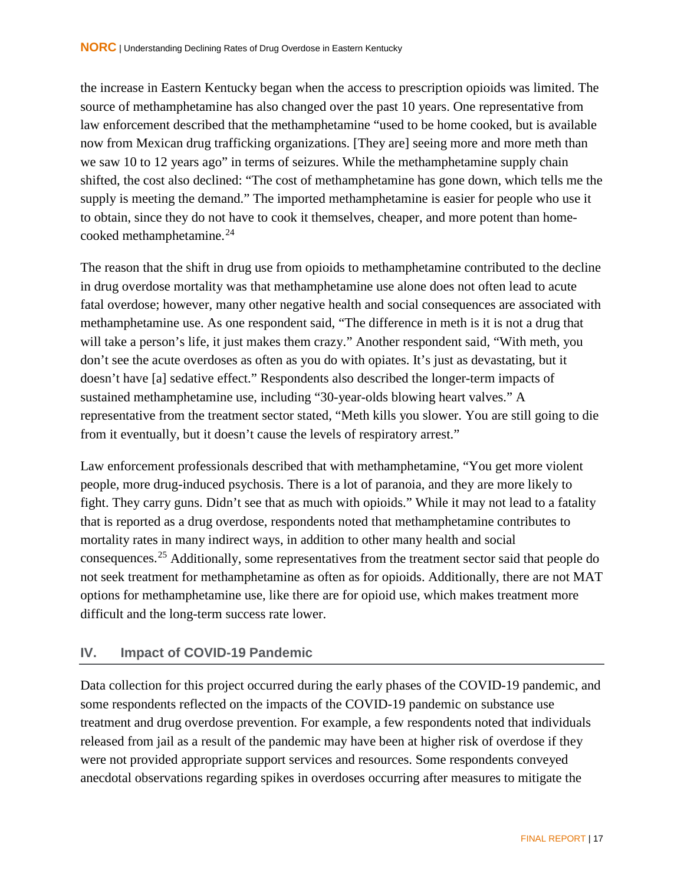the increase in Eastern Kentucky began when the access to prescription opioids was limited. The source of methamphetamine has also changed over the past 10 years. One representative from law enforcement described that the methamphetamine "used to be home cooked, but is available now from Mexican drug trafficking organizations. [They are] seeing more and more meth than we saw 10 to 12 years ago" in terms of seizures. While the methamphetamine supply chain shifted, the cost also declined: "The cost of methamphetamine has gone down, which tells me the supply is meeting the demand." The imported methamphetamine is easier for people who use it to obtain, since they do not have to cook it themselves, cheaper, and more potent than home-cooked methamphetamine.<sup>[24](#page-24-23)</sup>

The reason that the shift in drug use from opioids to methamphetamine contributed to the decline in drug overdose mortality was that methamphetamine use alone does not often lead to acute fatal overdose; however, many other negative health and social consequences are associated with methamphetamine use. As one respondent said, "The difference in meth is it is not a drug that will take a person's life, it just makes them crazy." Another respondent said, "With meth, you don't see the acute overdoses as often as you do with opiates. It's just as devastating, but it doesn't have [a] sedative effect." Respondents also described the longer-term impacts of sustained methamphetamine use, including "30-year-olds blowing heart valves." A representative from the treatment sector stated, "Meth kills you slower. You are still going to die from it eventually, but it doesn't cause the levels of respiratory arrest."

Law enforcement professionals described that with methamphetamine, "You get more violent people, more drug-induced psychosis. There is a lot of paranoia, and they are more likely to fight. They carry guns. Didn't see that as much with opioids." While it may not lead to a fatality that is reported as a drug overdose, respondents noted that methamphetamine contributes to mortality rates in many indirect ways, in addition to other many health and social consequences.[25](#page-24-24) Additionally, some representatives from the treatment sector said that people do not seek treatment for methamphetamine as often as for opioids. Additionally, there are not MAT options for methamphetamine use, like there are for opioid use, which makes treatment more difficult and the long-term success rate lower.

#### <span id="page-20-0"></span>**IV. Impact of COVID-19 Pandemic**

Data collection for this project occurred during the early phases of the COVID-19 pandemic, and some respondents reflected on the impacts of the COVID-19 pandemic on substance use treatment and drug overdose prevention. For example, a few respondents noted that individuals released from jail as a result of the pandemic may have been at higher risk of overdose if they were not provided appropriate support services and resources. Some respondents conveyed anecdotal observations regarding spikes in overdoses occurring after measures to mitigate the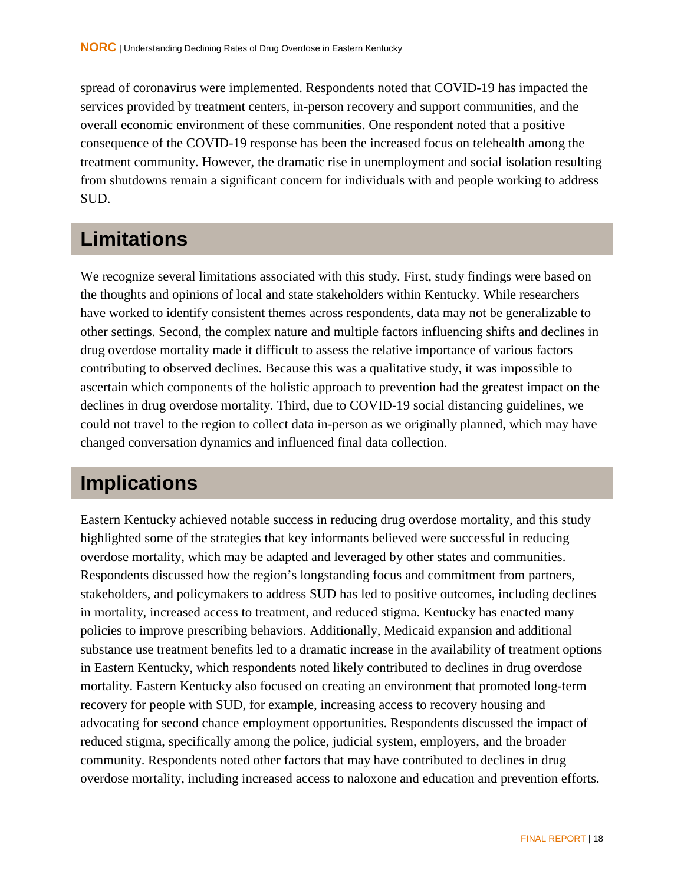spread of coronavirus were implemented. Respondents noted that COVID-19 has impacted the services provided by treatment centers, in-person recovery and support communities, and the overall economic environment of these communities. One respondent noted that a positive consequence of the COVID-19 response has been the increased focus on telehealth among the treatment community. However, the dramatic rise in unemployment and social isolation resulting from shutdowns remain a significant concern for individuals with and people working to address SUD.

### <span id="page-21-0"></span>**Limitations**

We recognize several limitations associated with this study. First, study findings were based on the thoughts and opinions of local and state stakeholders within Kentucky. While researchers have worked to identify consistent themes across respondents, data may not be generalizable to other settings. Second, the complex nature and multiple factors influencing shifts and declines in drug overdose mortality made it difficult to assess the relative importance of various factors contributing to observed declines. Because this was a qualitative study, it was impossible to ascertain which components of the holistic approach to prevention had the greatest impact on the declines in drug overdose mortality. Third, due to COVID-19 social distancing guidelines, we could not travel to the region to collect data in-person as we originally planned, which may have changed conversation dynamics and influenced final data collection.

### <span id="page-21-1"></span>**Implications**

Eastern Kentucky achieved notable success in reducing drug overdose mortality, and this study highlighted some of the strategies that key informants believed were successful in reducing overdose mortality, which may be adapted and leveraged by other states and communities. Respondents discussed how the region's longstanding focus and commitment from partners, stakeholders, and policymakers to address SUD has led to positive outcomes, including declines in mortality, increased access to treatment, and reduced stigma. Kentucky has enacted many policies to improve prescribing behaviors. Additionally, Medicaid expansion and additional substance use treatment benefits led to a dramatic increase in the availability of treatment options in Eastern Kentucky, which respondents noted likely contributed to declines in drug overdose mortality. Eastern Kentucky also focused on creating an environment that promoted long-term recovery for people with SUD, for example, increasing access to recovery housing and advocating for second chance employment opportunities. Respondents discussed the impact of reduced stigma, specifically among the police, judicial system, employers, and the broader community. Respondents noted other factors that may have contributed to declines in drug overdose mortality, including increased access to naloxone and education and prevention efforts.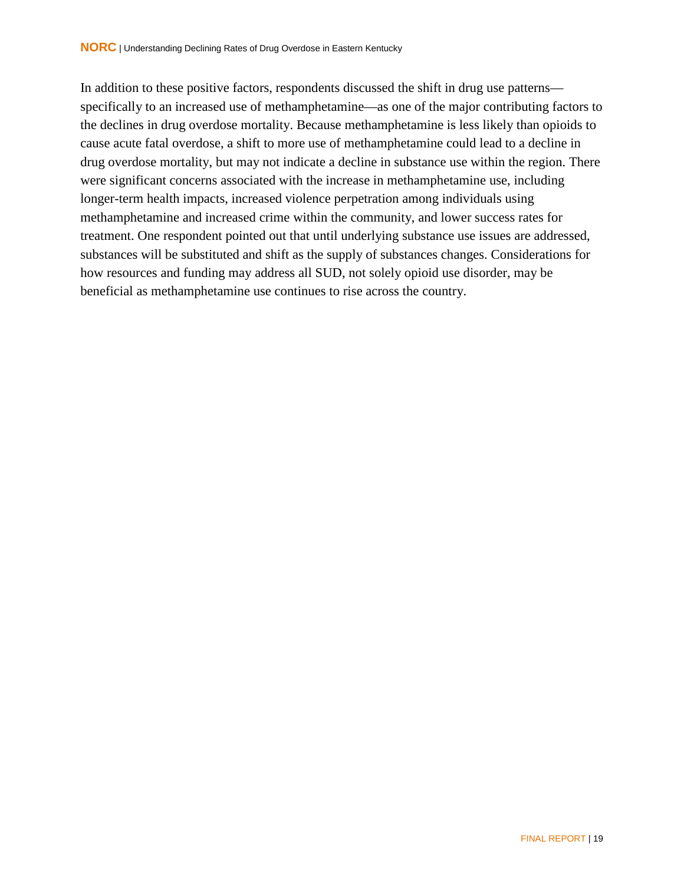In addition to these positive factors, respondents discussed the shift in drug use patterns specifically to an increased use of methamphetamine—as one of the major contributing factors to the declines in drug overdose mortality. Because methamphetamine is less likely than opioids to cause acute fatal overdose, a shift to more use of methamphetamine could lead to a decline in drug overdose mortality, but may not indicate a decline in substance use within the region. There were significant concerns associated with the increase in methamphetamine use, including longer-term health impacts, increased violence perpetration among individuals using methamphetamine and increased crime within the community, and lower success rates for treatment. One respondent pointed out that until underlying substance use issues are addressed, substances will be substituted and shift as the supply of substances changes. Considerations for how resources and funding may address all SUD, not solely opioid use disorder, may be beneficial as methamphetamine use continues to rise across the country.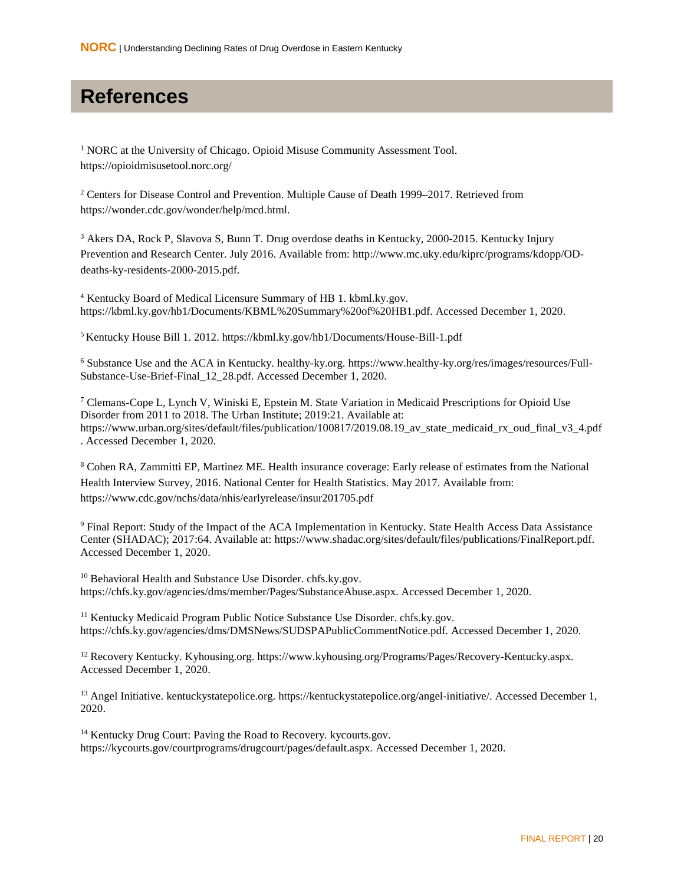### <span id="page-23-0"></span>**References**

<sup>1</sup> NORC at the University of Chicago. Opioid Misuse Community Assessment Tool. https://opioidmisusetool.norc.org/

<sup>2</sup> Centers for Disease Control and Prevention. Multiple Cause of Death 1999–2017. Retrieved from https://wonder.cdc.gov/wonder/help/mcd.html.

<sup>3</sup> Akers DA, Rock P, Slavova S, Bunn T. Drug overdose deaths in Kentucky, 2000-2015. Kentucky Injury Prevention and Research Center. July 2016. Available from: http://www.mc.uky.edu/kiprc/programs/kdopp/ODdeaths-ky-residents-2000-2015.pdf.

<sup>4</sup> Kentucky Board of Medical Licensure Summary of HB 1. kbml.ky.gov. https://kbml.ky.gov/hb1/Documents/KBML%20Summary%20of%20HB1.pdf. Accessed December 1, 2020.

<sup>5</sup> Kentucky House Bill 1. 2012. https://kbml.ky.gov/hb1/Documents/House-Bill-1.pdf

<sup>6</sup> Substance Use and the ACA in Kentucky. healthy-ky.org. https://www.healthy-ky.org/res/images/resources/Full-Substance-Use-Brief-Final\_12\_28.pdf. Accessed December 1, 2020.

<sup>7</sup> Clemans-Cope L, Lynch V, Winiski E, Epstein M. State Variation in Medicaid Prescriptions for Opioid Use Disorder from 2011 to 2018. The Urban Institute; 2019:21. Available at: https://www.urban.org/sites/default/files/publication/100817/2019.08.19\_av\_state\_medicaid\_rx\_oud\_final\_v3\_4.pdf . Accessed December 1, 2020.

<sup>8</sup> Cohen RA, Zammitti EP, Martinez ME. Health insurance coverage: Early release of estimates from the National Health Interview Survey, 2016. National Center for Health Statistics. May 2017. Available from: https://www.cdc.gov/nchs/data/nhis/earlyrelease/insur201705.pdf

<sup>9</sup> Final Report: Study of the Impact of the ACA Implementation in Kentucky. State Health Access Data Assistance Center (SHADAC); 2017:64. Available at: https://www.shadac.org/sites/default/files/publications/FinalReport.pdf. Accessed December 1, 2020.

<sup>10</sup> Behavioral Health and Substance Use Disorder. chfs.ky.gov. https://chfs.ky.gov/agencies/dms/member/Pages/SubstanceAbuse.aspx. Accessed December 1, 2020.

<sup>11</sup> Kentucky Medicaid Program Public Notice Substance Use Disorder. chfs.ky.gov. https://chfs.ky.gov/agencies/dms/DMSNews/SUDSPAPublicCommentNotice.pdf. Accessed December 1, 2020.

<sup>12</sup> Recovery Kentucky. Kyhousing.org. https://www.kyhousing.org/Programs/Pages/Recovery-Kentucky.aspx. Accessed December 1, 2020.

<sup>13</sup> Angel Initiative. kentuckystatepolice.org. https://kentuckystatepolice.org/angel-initiative/. Accessed December 1, 2020.

<sup>14</sup> Kentucky Drug Court: Paving the Road to Recovery. kycourts.gov. https://kycourts.gov/courtprograms/drugcourt/pages/default.aspx. Accessed December 1, 2020.